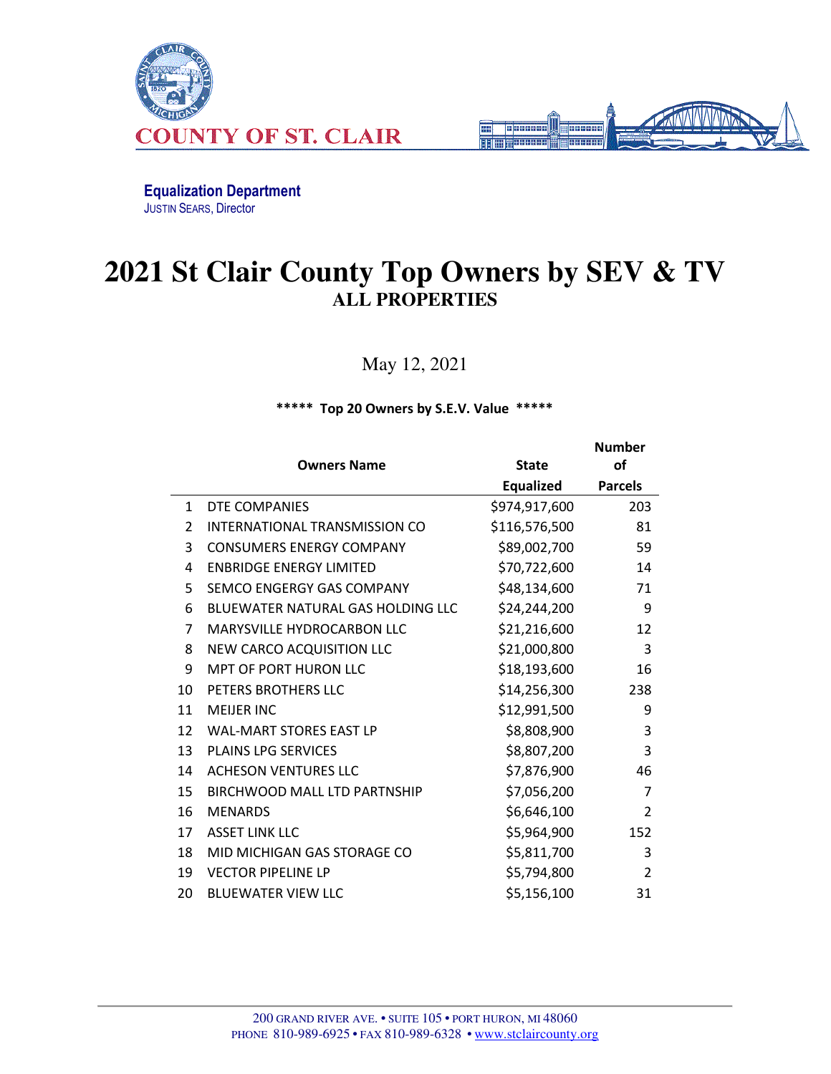



Number

Equalization Department JUSTIN SEARS, Director

## **2021 St Clair County Top Owners by SEV & TV ALL PROPERTIES**

May 12, 2021

\*\*\*\*\* Top 20 Owners by S.E.V. Value \*\*\*\*\*

|              | <b>Owners Name</b>                       | <b>State</b>  | <b>of</b>      |
|--------------|------------------------------------------|---------------|----------------|
|              |                                          | Equalized     | <b>Parcels</b> |
| $\mathbf{1}$ | DTE COMPANIES                            | \$974,917,600 | 203            |
| 2            | INTERNATIONAL TRANSMISSION CO            | \$116,576,500 | 81             |
| 3            | <b>CONSUMERS ENERGY COMPANY</b>          | \$89,002,700  | 59             |
| 4            | <b>ENBRIDGE ENERGY LIMITED</b>           | \$70,722,600  | 14             |
| 5            | SEMCO ENGERGY GAS COMPANY                | \$48,134,600  | 71             |
| 6            | <b>BLUEWATER NATURAL GAS HOLDING LLC</b> | \$24,244,200  | 9              |
| 7            | MARYSVILLE HYDROCARBON LLC               | \$21,216,600  | 12             |
| 8            | NEW CARCO ACQUISITION LLC                | \$21,000,800  | 3              |
| 9            | <b>MPT OF PORT HURON LLC</b>             | \$18,193,600  | 16             |
| 10           | PETERS BROTHERS LLC                      | \$14,256,300  | 238            |
| 11           | <b>MEIJER INC</b>                        | \$12,991,500  | 9              |
| 12           | <b>WAL-MART STORES EAST LP</b>           | \$8,808,900   | 3              |
| 13           | <b>PLAINS LPG SERVICES</b>               | \$8,807,200   | 3              |
| 14           | <b>ACHESON VENTURES LLC</b>              | \$7,876,900   | 46             |
| 15           | <b>BIRCHWOOD MALL LTD PARTNSHIP</b>      | \$7,056,200   | 7              |
| 16           | <b>MENARDS</b>                           | \$6,646,100   | $\overline{2}$ |
| 17           | <b>ASSET LINK LLC</b>                    | \$5,964,900   | 152            |
| 18           | MID MICHIGAN GAS STORAGE CO              | \$5,811,700   | 3              |
| 19           | <b>VECTOR PIPELINE LP</b>                | \$5,794,800   | $\overline{2}$ |
| 20           | <b>BLUEWATER VIEW LLC</b>                | \$5,156,100   | 31             |